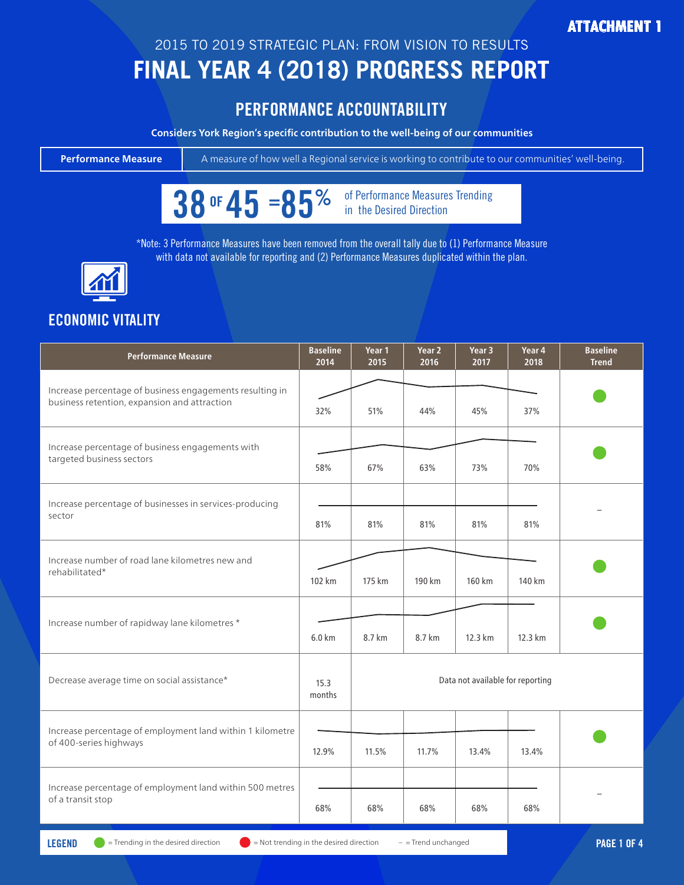#### **ATTACHMENT 1**

## 2015 TO 2019 STRATEGIC PLAN: FROM VISION TO RESULTS

# **FINAL YEAR 4 (2018) PROGRESS REPORT**

### PERFORMANCE ACCOUNTABILITY

**Considers York Region's specific contribution to the well-being of our communities**



 $38$  OF  $45 = 85%$  of Performance Measures Trending

\*Note: 3 Performance Measures have been removed from the overall tally due to (1) Performance Measure with data not available for reporting and (2) Performance Measures duplicated within the plan.



### **ECONOMIC VITALITY**

| <b>Performance Measure</b>                                                                               | <b>Baseline</b><br>2014 | Year 1<br>2015                   | Year 2<br>2016 | Year 3<br>2017 | Year 4<br>2018 | <b>Baseline</b><br><b>Trend</b> |  |  |
|----------------------------------------------------------------------------------------------------------|-------------------------|----------------------------------|----------------|----------------|----------------|---------------------------------|--|--|
| Increase percentage of business engagements resulting in<br>business retention, expansion and attraction | 32%                     | 51%                              | 44%            | 45%            | 37%            |                                 |  |  |
| Increase percentage of business engagements with<br>targeted business sectors                            | 58%                     | 67%                              | 63%            | 73%            | 70%            |                                 |  |  |
| Increase percentage of businesses in services-producing<br>sector                                        | 81%                     | 81%                              | 81%            | 81%            | 81%            |                                 |  |  |
| Increase number of road lane kilometres new and<br>rehabilitated*                                        | 102 km                  | 175 km                           | 190 km         | 160 km         | 140 km         |                                 |  |  |
| Increase number of rapidway lane kilometres *                                                            | 6.0 km                  | 8.7 km                           | 8.7 km         | 12.3 km        | 12.3 km        |                                 |  |  |
| Decrease average time on social assistance*                                                              | 15.3<br>months          | Data not available for reporting |                |                |                |                                 |  |  |
| Increase percentage of employment land within 1 kilometre<br>of 400-series highways                      | 12.9%                   | 11.5%                            | 11.7%          | 13.4%          | 13.4%          |                                 |  |  |
| Increase percentage of employment land within 500 metres<br>of a transit stop                            |                         |                                  |                |                |                |                                 |  |  |
|                                                                                                          | 68%                     | 68%                              | 68%            | 68%            | 68%            |                                 |  |  |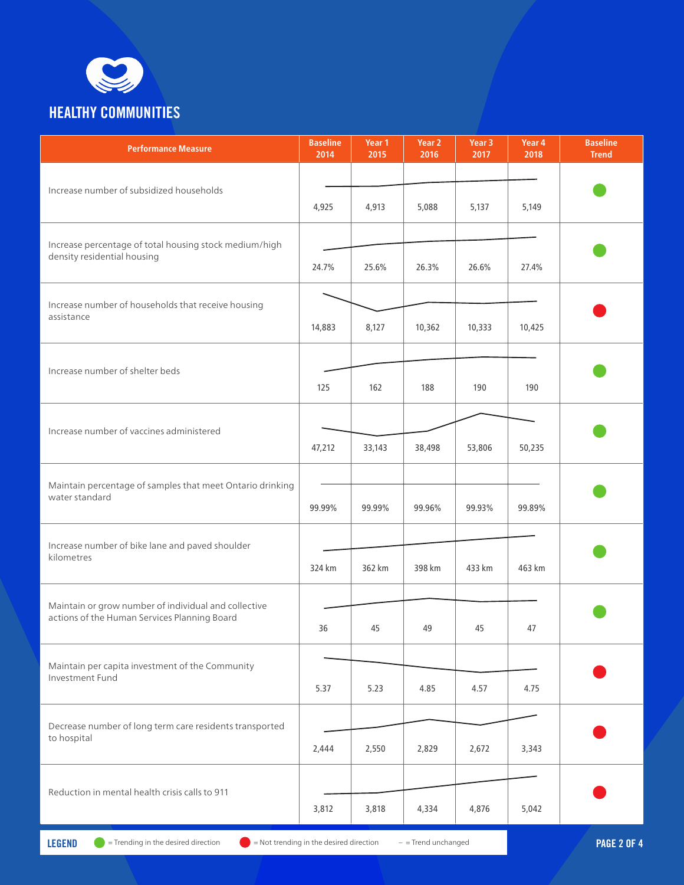

| <b>Performance Measure</b>                                                                           | <b>Baseline</b><br>2014 | Year 1<br>2015 | Year 2<br>2016 | Year 3<br>2017 | Year 4<br>2018 | <b>Baseline</b><br><b>Trend</b> |
|------------------------------------------------------------------------------------------------------|-------------------------|----------------|----------------|----------------|----------------|---------------------------------|
| Increase number of subsidized households                                                             |                         |                |                |                |                |                                 |
|                                                                                                      | 4,925                   | 4,913          | 5,088          | 5,137          | 5,149          |                                 |
| Increase percentage of total housing stock medium/high<br>density residential housing                |                         |                |                |                |                |                                 |
|                                                                                                      | 24.7%                   | 25.6%          | 26.3%          | 26.6%          | 27.4%          |                                 |
| Increase number of households that receive housing<br>assistance                                     |                         |                |                |                |                |                                 |
|                                                                                                      | 14,883                  | 8,127          | 10,362         | 10,333         | 10,425         |                                 |
| Increase number of shelter beds                                                                      |                         |                |                |                |                |                                 |
|                                                                                                      | 125                     | 162            | 188            | 190            | 190            |                                 |
| Increase number of vaccines administered                                                             |                         |                |                |                |                |                                 |
|                                                                                                      | 47,212                  | 33,143         | 38,498         | 53,806         | 50,235         |                                 |
| Maintain percentage of samples that meet Ontario drinking                                            |                         |                |                |                |                |                                 |
| water standard                                                                                       | 99.99%                  | 99.99%         | 99.96%         | 99.93%         | 99.89%         |                                 |
| Increase number of bike lane and paved shoulder<br>kilometres                                        |                         |                |                |                |                |                                 |
|                                                                                                      | 324 km                  | 362 km         | 398 km         | 433 km         | 463 km         |                                 |
| Maintain or grow number of individual and collective<br>actions of the Human Services Planning Board |                         |                |                |                |                |                                 |
|                                                                                                      | 36                      | 45             | 49             | 45             | 47             |                                 |
| Maintain per capita investment of the Community<br>Investment Fund                                   |                         |                |                |                |                |                                 |
|                                                                                                      | 5.37                    | 5.23           | 4.85           | 4.57           | 4.75           |                                 |
| Decrease number of long term care residents transported<br>to hospital                               |                         |                |                |                |                |                                 |
|                                                                                                      | 2,444                   | 2,550          | 2,829          | 2,672          | 3,343          |                                 |
| Reduction in mental health crisis calls to 911                                                       |                         |                |                |                |                |                                 |
|                                                                                                      | 3,812                   | 3,818          | 4,334          | 4,876          | 5,042          |                                 |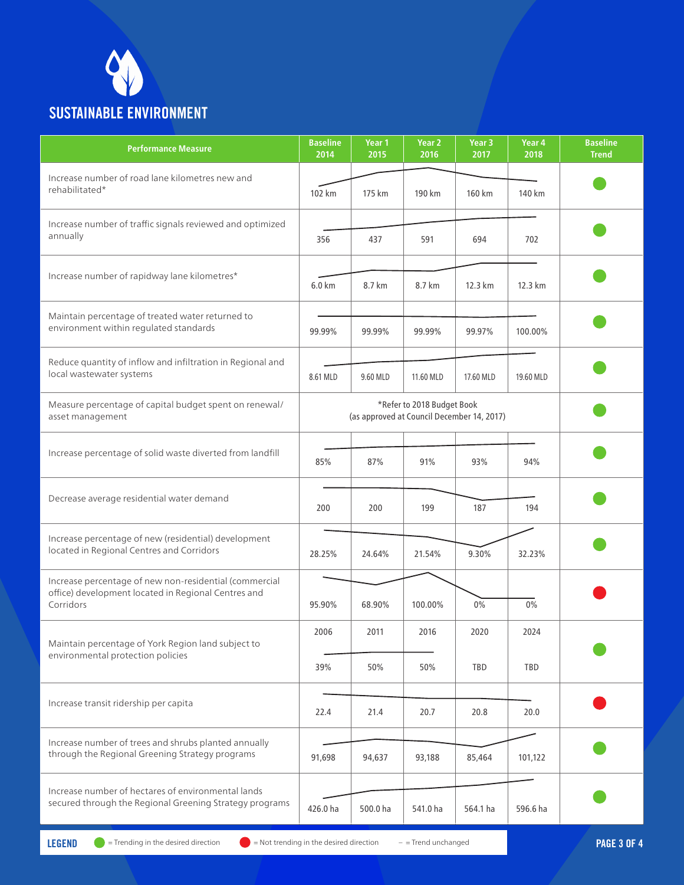

| <b>Performance Measure</b>                                                                                                 | <b>Baseline</b><br>2014                    | Year 1<br>2015 | Year 2<br>2016 | Year 3<br>2017 | Year 4<br>2018 | <b>Baseline</b><br><b>Trend</b> |
|----------------------------------------------------------------------------------------------------------------------------|--------------------------------------------|----------------|----------------|----------------|----------------|---------------------------------|
| Increase number of road lane kilometres new and<br>rehabilitated*                                                          | 102 km                                     | 175 km         | 190 km         | 160 km         | 140 km         |                                 |
| Increase number of traffic signals reviewed and optimized<br>annually                                                      | 356                                        | 437            | 591            | 694            | 702            |                                 |
| Increase number of rapidway lane kilometres*                                                                               | $6.0 \text{ km}$                           | 8.7 km         | 8.7 km         | 12.3 km        | 12.3 km        |                                 |
| Maintain percentage of treated water returned to<br>environment within regulated standards                                 | 99.99%                                     | 99.99%         | 99.99%         | 99.97%         | 100.00%        |                                 |
| Reduce quantity of inflow and infiltration in Regional and<br>local wastewater systems                                     | 8.61 MLD                                   | 9.60 MLD       | 11.60 MLD      | 17.60 MLD      | 19.60 MLD      |                                 |
| Measure percentage of capital budget spent on renewal/<br>asset management                                                 | (as approved at Council December 14, 2017) |                |                |                |                |                                 |
| Increase percentage of solid waste diverted from landfill                                                                  | 85%                                        | 87%            | 91%            | 93%            | 94%            |                                 |
| Decrease average residential water demand                                                                                  | 200                                        | 200            | 199            | 187            | 194            |                                 |
| Increase percentage of new (residential) development<br>located in Regional Centres and Corridors                          | 28.25%                                     | 24.64%         | 21.54%         | 9.30%          | 32.23%         |                                 |
| Increase percentage of new non-residential (commercial<br>office) development located in Regional Centres and<br>Corridors | 95.90%                                     | 68.90%         | 100.00%        | $0\%$          | 0%             |                                 |
| Maintain percentage of York Region land subject to<br>environmental protection policies                                    | 2006                                       | 2011           | 2016           | 2020           | 2024           |                                 |
|                                                                                                                            | 39%                                        | 50%            | 50%            | TBD            | TBD            |                                 |
| Increase transit ridership per capita                                                                                      | 22.4                                       | 21.4           | 20.7           | 20.8           | 20.0           |                                 |
| Increase number of trees and shrubs planted annually<br>through the Regional Greening Strategy programs                    | 91,698                                     | 94,637         | 93,188         | 85,464         | 101,122        |                                 |
| Increase number of hectares of environmental lands<br>secured through the Regional Greening Strategy programs              | 426.0 ha                                   | 500.0 ha       | 541.0 ha       | 564.1 ha       | 596.6 ha       |                                 |